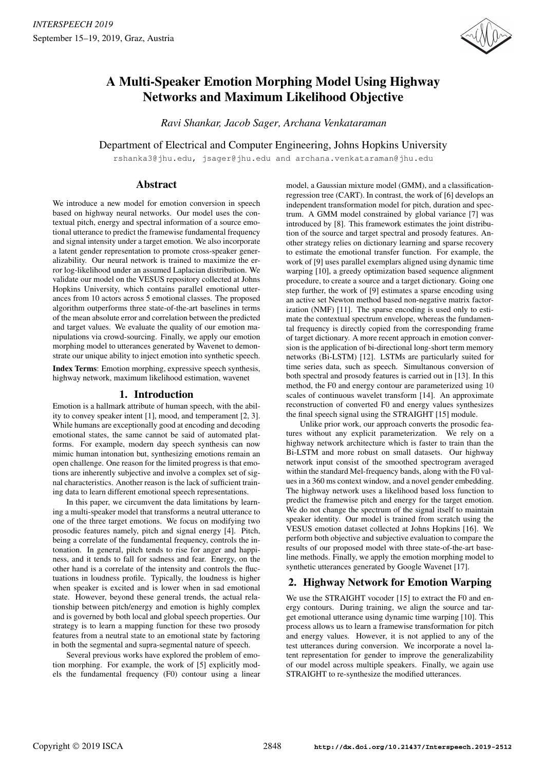

# A Multi-Speaker Emotion Morphing Model Using Highway Networks and Maximum Likelihood Objective

*Ravi Shankar, Jacob Sager, Archana Venkataraman*

Department of Electrical and Computer Engineering, Johns Hopkins University

rshanka3@jhu.edu, jsager@jhu.edu and archana.venkataraman@jhu.edu

# Abstract

We introduce a new model for emotion conversion in speech based on highway neural networks. Our model uses the contextual pitch, energy and spectral information of a source emotional utterance to predict the framewise fundamental frequency and signal intensity under a target emotion. We also incorporate a latent gender representation to promote cross-speaker generalizability. Our neural network is trained to maximize the error log-likelihood under an assumed Laplacian distribution. We validate our model on the VESUS repository collected at Johns Hopkins University, which contains parallel emotional utterances from 10 actors across 5 emotional classes. The proposed algorithm outperforms three state-of-the-art baselines in terms of the mean absolute error and correlation between the predicted and target values. We evaluate the quality of our emotion manipulations via crowd-sourcing. Finally, we apply our emotion morphing model to utterances generated by Wavenet to demonstrate our unique ability to inject emotion into synthetic speech.

Index Terms: Emotion morphing, expressive speech synthesis, highway network, maximum likelihood estimation, wavenet

# 1. Introduction

Emotion is a hallmark attribute of human speech, with the ability to convey speaker intent [1], mood, and temperament [2, 3]. While humans are exceptionally good at encoding and decoding emotional states, the same cannot be said of automated platforms. For example, modern day speech synthesis can now mimic human intonation but, synthesizing emotions remain an open challenge. One reason for the limited progress is that emotions are inherently subjective and involve a complex set of signal characteristics. Another reason is the lack of sufficient training data to learn different emotional speech representations.

In this paper, we circumvent the data limitations by learning a multi-speaker model that transforms a neutral utterance to one of the three target emotions. We focus on modifying two prosodic features namely, pitch and signal energy [4]. Pitch, being a correlate of the fundamental frequency, controls the intonation. In general, pitch tends to rise for anger and happiness, and it tends to fall for sadness and fear. Energy, on the other hand is a correlate of the intensity and controls the fluctuations in loudness profile. Typically, the loudness is higher when speaker is excited and is lower when in sad emotional state. However, beyond these general trends, the actual relationship between pitch/energy and emotion is highly complex and is governed by both local and global speech properties. Our strategy is to learn a mapping function for these two prosody features from a neutral state to an emotional state by factoring in both the segmental and supra-segmental nature of speech.

Several previous works have explored the problem of emotion morphing. For example, the work of [5] explicitly models the fundamental frequency (F0) contour using a linear model, a Gaussian mixture model (GMM), and a classificationregression tree (CART). In contrast, the work of [6] develops an independent transformation model for pitch, duration and spectrum. A GMM model constrained by global variance [7] was introduced by [8]. This framework estimates the joint distribution of the source and target spectral and prosody features. Another strategy relies on dictionary learning and sparse recovery to estimate the emotional transfer function. For example, the work of [9] uses parallel exemplars aligned using dynamic time warping [10], a greedy optimization based sequence alignment procedure, to create a source and a target dictionary. Going one step further, the work of [9] estimates a sparse encoding using an active set Newton method based non-negative matrix factorization (NMF) [11]. The sparse encoding is used only to estimate the contextual spectrum envelope, whereas the fundamental frequency is directly copied from the corresponding frame of target dictionary. A more recent approach in emotion conversion is the application of bi-directional long-short term memory networks (Bi-LSTM) [12]. LSTMs are particularly suited for time series data, such as speech. Simultanous conversion of both spectral and prosody features is carried out in [13]. In this method, the F0 and energy contour are parameterized using 10 scales of continuous wavelet transform [14]. An approximate reconstruction of converted F0 and energy values synthesizes the final speech signal using the STRAIGHT [15] module.

Unlike prior work, our approach converts the prosodic features without any explicit parameterization. We rely on a highway network architecture which is faster to train than the Bi-LSTM and more robust on small datasets. Our highway network input consist of the smoothed spectrogram averaged within the standard Mel-frequency bands, along with the F0 values in a 360 ms context window, and a novel gender embedding. The highway network uses a likelihood based loss function to predict the framewise pitch and energy for the target emotion. We do not change the spectrum of the signal itself to maintain speaker identity. Our model is trained from scratch using the VESUS emotion dataset collected at Johns Hopkins [16]. We perform both objective and subjective evaluation to compare the results of our proposed model with three state-of-the-art baseline methods. Finally, we apply the emotion morphing model to synthetic utterances generated by Google Wavenet [17].

# 2. Highway Network for Emotion Warping

We use the STRAIGHT vocoder [15] to extract the F0 and energy contours. During training, we align the source and target emotional utterance using dynamic time warping [10]. This process allows us to learn a framewise transformation for pitch and energy values. However, it is not applied to any of the test utterances during conversion. We incorporate a novel latent representation for gender to improve the generalizability of our model across multiple speakers. Finally, we again use STRAIGHT to re-synthesize the modified utterances.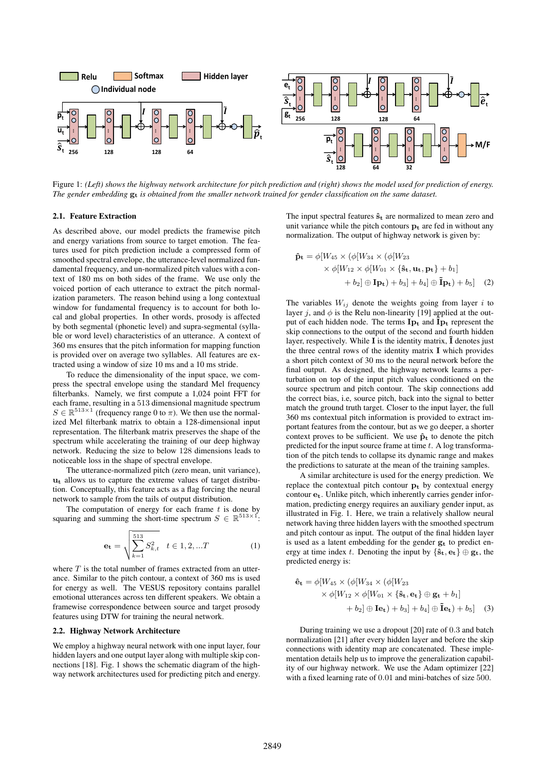

Figure 1: *(Left) shows the highway network architecture for pitch prediction and (right) shows the model used for prediction of energy. The gender embedding* g<sup>t</sup> *is obtained from the smaller network trained for gender classification on the same dataset.*

#### 2.1. Feature Extraction

As described above, our model predicts the framewise pitch and energy variations from source to target emotion. The features used for pitch prediction include a compressed form of smoothed spectral envelope, the utterance-level normalized fundamental frequency, and un-normalized pitch values with a context of 180 ms on both sides of the frame. We use only the voiced portion of each utterance to extract the pitch normalization parameters. The reason behind using a long contextual window for fundamental frequency is to account for both local and global properties. In other words, prosody is affected by both segmental (phonetic level) and supra-segmental (syllable or word level) characteristics of an utterance. A context of 360 ms ensures that the pitch information for mapping function is provided over on average two syllables. All features are extracted using a window of size 10 ms and a 10 ms stride.

To reduce the dimensionality of the input space, we compress the spectral envelope using the standard Mel frequency filterbanks. Namely, we first compute a 1,024 point FFT for each frame, resulting in a 513 dimensional magnitude spectrum  $S \in \mathbb{R}^{513 \times 1}$  (frequency range 0 to  $\pi$ ). We then use the normalized Mel filterbank matrix to obtain a 128-dimensional input representation. The filterbank matrix preserves the shape of the spectrum while accelerating the training of our deep highway network. Reducing the size to below 128 dimensions leads to noticeable loss in the shape of spectral envelope.

The utterance-normalized pitch (zero mean, unit variance),  $u_t$  allows us to capture the extreme values of target distribution. Conceptually, this feature acts as a flag forcing the neural network to sample from the tails of output distribution.

The computation of energy for each frame  $t$  is done by squaring and summing the short-time spectrum  $S \in \mathbb{R}^{513 \times 1}$ :

$$
\mathbf{e_t} = \sqrt{\sum_{k=1}^{513} S_{k,t}^2} \quad t \in 1, 2, ...T \tag{1}
$$

where  $T$  is the total number of frames extracted from an utterance. Similar to the pitch contour, a context of 360 ms is used for energy as well. The VESUS repository contains parallel emotional utterances across ten different speakers. We obtain a framewise correspondence between source and target prosody features using DTW for training the neural network.

#### 2.2. Highway Network Architecture

We employ a highway neural network with one input layer, four hidden layers and one output layer along with multiple skip connections [18]. Fig. 1 shows the schematic diagram of the highway network architectures used for predicting pitch and energy. The input spectral features  $\hat{\mathbf{s}}_t$  are normalized to mean zero and unit variance while the pitch contours  $p_t$  are fed in without any normalization. The output of highway network is given by:

$$
\hat{\mathbf{p}}_{\mathbf{t}} = \phi[W_{45} \times (\phi[W_{34} \times (\phi[W_{23} \times \phi[W_{23} \times \phi[W_{12} \times \phi[W_{01} \times {\mathbf{\$t, u_t, p_t\}} + b_1] \times b_2]) \quad \text{where}
$$
\n
$$
+ b_2] \oplus \mathbf{I} \mathbf{p}_{\mathbf{t}}) + b_3] + b_4] \oplus \mathbf{\tilde{I}} \mathbf{p}_{\mathbf{t}}) + b_5] \quad (2)
$$

The variables  $W_{ij}$  denote the weights going from layer i to layer j, and  $\phi$  is the Relu non-linearity [19] applied at the output of each hidden node. The terms  $I_{p_t}$  and  $I_{p_t}$  represent the skip connections to the output of the second and fourth hidden layer, respectively. While  $\bf{I}$  is the identity matrix,  $\bf{I}$  denotes just the three central rows of the identity matrix I which provides a short pitch context of 30 ms to the neural network before the final output. As designed, the highway network learns a perturbation on top of the input pitch values conditioned on the source spectrum and pitch contour. The skip connections add the correct bias, i.e, source pitch, back into the signal to better match the ground truth target. Closer to the input layer, the full 360 ms contextual pitch information is provided to extract important features from the contour, but as we go deeper, a shorter context proves to be sufficient. We use  $\hat{\mathbf{p}}_t$  to denote the pitch predicted for the input source frame at time  $t$ . A log transformation of the pitch tends to collapse its dynamic range and makes the predictions to saturate at the mean of the training samples.

A similar architecture is used for the energy prediction. We replace the contextual pitch contour  $p_t$  by contextual energy contour et. Unlike pitch, which inherently carries gender information, predicting energy requires an auxiliary gender input, as illustrated in Fig. 1. Here, we train a relatively shallow neural network having three hidden layers with the smoothed spectrum and pitch contour as input. The output of the final hidden layer is used as a latent embedding for the gender  $g_t$  to predict energy at time index t. Denoting the input by  $\{\hat{\mathbf{s}}_t, \mathbf{e}_t\} \oplus \mathbf{g}_t$ , the predicted energy is:

$$
\hat{\mathbf{e}}_{\mathbf{t}} = \phi[W_{45} \times (\phi[W_{34} \times (\phi[W_{23} \times \phi[W_{23} \times \phi[W_{12} \times \phi[W_{01} \times {\{\hat{\mathbf{s}}_{\mathbf{t}}}, \mathbf{e}_{\mathbf{t}}\} \oplus \mathbf{g}_{\mathbf{t}} + b_1] + b_2] \oplus \mathbf{I} \mathbf{e}_{\mathbf{t}}) + b_3] + b_4] \oplus \mathbf{\tilde{I}} \mathbf{e}_{\mathbf{t}}) + b_5] \quad (3)
$$

During training we use a dropout [20] rate of 0.3 and batch normalization [21] after every hidden layer and before the skip connections with identity map are concatenated. These implementation details help us to improve the generalization capability of our highway network. We use the Adam optimizer [22] with a fixed learning rate of 0.01 and mini-batches of size 500.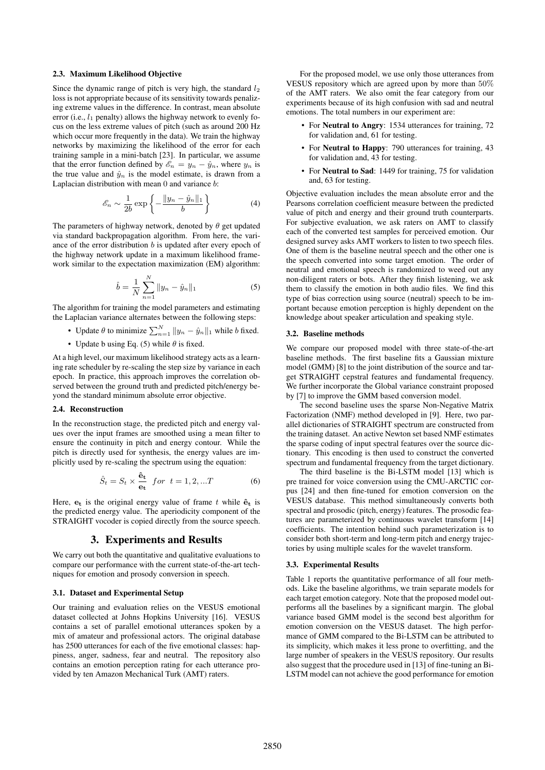#### 2.3. Maximum Likelihood Objective

Since the dynamic range of pitch is very high, the standard  $l_2$ loss is not appropriate because of its sensitivity towards penalizing extreme values in the difference. In contrast, mean absolute error (i.e.,  $l_1$  penalty) allows the highway network to evenly focus on the less extreme values of pitch (such as around 200 Hz which occur more frequently in the data). We train the highway networks by maximizing the likelihood of the error for each training sample in a mini-batch [23]. In particular, we assume that the error function defined by  $\mathscr{E}_n = y_n - \hat{y}_n$ , where  $y_n$  is the true value and  $\hat{y}_n$  is the model estimate, is drawn from a Laplacian distribution with mean 0 and variance b:

$$
\mathcal{E}_n \sim \frac{1}{2b} \exp\left\{-\frac{\|y_n - \hat{y}_n\|_1}{b}\right\} \tag{4}
$$

The parameters of highway network, denoted by  $\theta$  get updated via standard backpropagation algorithm. From here, the variance of the error distribution  $b$  is updated after every epoch of the highway network update in a maximum likelihood framework similar to the expectation maximization (EM) algorithm:

$$
\hat{b} = \frac{1}{N} \sum_{n=1}^{N} ||y_n - \hat{y}_n||_1
$$
\n(5)

The algorithm for training the model parameters and estimating the Laplacian variance alternates between the following steps:

- Update  $\theta$  to minimize  $\sum_{n=1}^{N} ||y_n \hat{y}_n||_1$  while b fixed.
- Update b using Eq. (5) while  $\theta$  is fixed.

At a high level, our maximum likelihood strategy acts as a learning rate scheduler by re-scaling the step size by variance in each epoch. In practice, this approach improves the correlation observed between the ground truth and predicted pitch/energy beyond the standard minimum absolute error objective.

#### 2.4. Reconstruction

In the reconstruction stage, the predicted pitch and energy values over the input frames are smoothed using a mean filter to ensure the continuity in pitch and energy contour. While the pitch is directly used for synthesis, the energy values are implicitly used by re-scaling the spectrum using the equation:

$$
\hat{S}_t = S_t \times \frac{\hat{\mathbf{e}}_t}{\mathbf{e}_t} \quad \text{for} \quad t = 1, 2, ...T \tag{6}
$$

Here,  $e_t$  is the original energy value of frame t while  $\hat{e}_t$  is the predicted energy value. The aperiodicity component of the STRAIGHT vocoder is copied directly from the source speech.

### 3. Experiments and Results

We carry out both the quantitative and qualitative evaluations to compare our performance with the current state-of-the-art techniques for emotion and prosody conversion in speech.

#### 3.1. Dataset and Experimental Setup

Our training and evaluation relies on the VESUS emotional dataset collected at Johns Hopkins University [16]. VESUS contains a set of parallel emotional utterances spoken by a mix of amateur and professional actors. The original database has 2500 utterances for each of the five emotional classes: happiness, anger, sadness, fear and neutral. The repository also contains an emotion perception rating for each utterance provided by ten Amazon Mechanical Turk (AMT) raters.

For the proposed model, we use only those utterances from VESUS repository which are agreed upon by more than 50% of the AMT raters. We also omit the fear category from our experiments because of its high confusion with sad and neutral emotions. The total numbers in our experiment are:

- For Neutral to Angry: 1534 utterances for training, 72 for validation and, 61 for testing.
- For Neutral to Happy: 790 utterances for training, 43 for validation and, 43 for testing.
- For Neutral to Sad: 1449 for training, 75 for validation and, 63 for testing.

Objective evaluation includes the mean absolute error and the Pearsons correlation coefficient measure between the predicted value of pitch and energy and their ground truth counterparts. For subjective evaluation, we ask raters on AMT to classify each of the converted test samples for perceived emotion. Our designed survey asks AMT workers to listen to two speech files. One of them is the baseline neutral speech and the other one is the speech converted into some target emotion. The order of neutral and emotional speech is randomized to weed out any non-diligent raters or bots. After they finish listening, we ask them to classify the emotion in both audio files. We find this type of bias correction using source (neutral) speech to be important because emotion perception is highly dependent on the knowledge about speaker articulation and speaking style.

#### 3.2. Baseline methods

We compare our proposed model with three state-of-the-art baseline methods. The first baseline fits a Gaussian mixture model (GMM) [8] to the joint distribution of the source and target STRAIGHT cepstral features and fundamental frequency. We further incorporate the Global variance constraint proposed by [7] to improve the GMM based conversion model.

The second baseline uses the sparse Non-Negative Matrix Factorization (NMF) method developed in [9]. Here, two parallel dictionaries of STRAIGHT spectrum are constructed from the training dataset. An active Newton set based NMF estimates the sparse coding of input spectral features over the source dictionary. This encoding is then used to construct the converted spectrum and fundamental frequency from the target dictionary.

The third baseline is the Bi-LSTM model [13] which is pre trained for voice conversion using the CMU-ARCTIC corpus [24] and then fine-tuned for emotion conversion on the VESUS database. This method simultaneously converts both spectral and prosodic (pitch, energy) features. The prosodic features are parameterized by continuous wavelet transform [14] coefficients. The intention behind such parameterization is to consider both short-term and long-term pitch and energy trajectories by using multiple scales for the wavelet transform.

#### 3.3. Experimental Results

Table 1 reports the quantitative performance of all four methods. Like the baseline algorithms, we train separate models for each target emotion category. Note that the proposed model outperforms all the baselines by a significant margin. The global variance based GMM model is the second best algorithm for emotion conversion on the VESUS dataset. The high performance of GMM compared to the Bi-LSTM can be attributed to its simplicity, which makes it less prone to overfitting, and the large number of speakers in the VESUS repository. Our results also suggest that the procedure used in [13] of fine-tuning an Bi-LSTM model can not achieve the good performance for emotion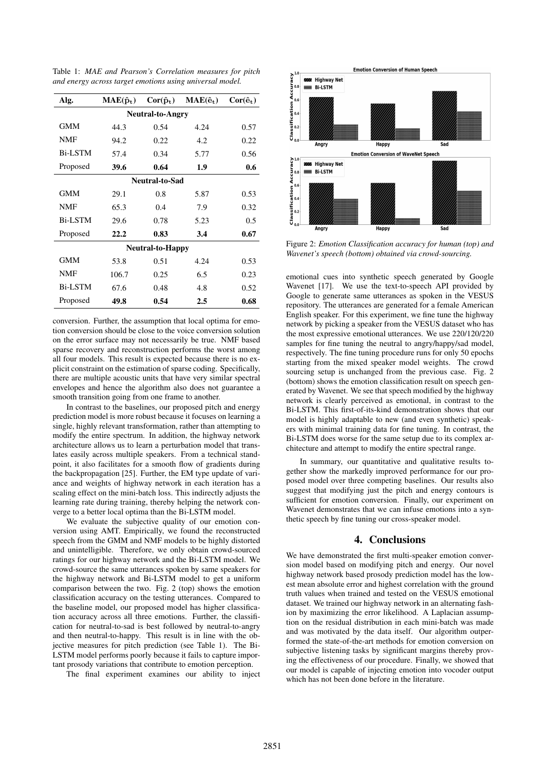Table 1: *MAE and Pearson's Correlation measures for pitch and energy across target emotions using universal model.*

| Alg.                    | $MAE(\hat{p}_t)$ | $Cor(\hat{\mathbf{p}}_t)$ | $MAE(\hat{e}_t)$ | $Cor(\hat{\mathbf{e}}_t)$ |
|-------------------------|------------------|---------------------------|------------------|---------------------------|
| <b>Neutral-to-Angry</b> |                  |                           |                  |                           |
| <b>GMM</b>              | 44.3             | 0.54                      | 4.24             | 0.57                      |
| <b>NMF</b>              | 94.2             | 0.22                      | 4.2              | 0.22                      |
| <b>Bi-LSTM</b>          | 57.4             | 0.34                      | 5.77             | 0.56                      |
| Proposed                | 39.6             | 0.64                      | 1.9              | 0.6                       |
| Neutral-to-Sad          |                  |                           |                  |                           |
| <b>GMM</b>              | 29.1             | 0.8                       | 5.87             | 0.53                      |
| NMF                     | 65.3             | 0.4                       | 7.9              | 0.32                      |
| <b>Bi-LSTM</b>          | 29.6             | 0.78                      | 5.23             | 0.5                       |
| Proposed                | 22.2             | 0.83                      | 3.4              | 0.67                      |
| <b>Neutral-to-Happy</b> |                  |                           |                  |                           |
| GMM                     | 53.8             | 0.51                      | 4.24             | 0.53                      |
| <b>NMF</b>              | 106.7            | 0.25                      | 6.5              | 0.23                      |
| <b>Bi-LSTM</b>          | 67.6             | 0.48                      | 4.8              | 0.52                      |
| Proposed                | 49.8             | 0.54                      | 2.5              | 0.68                      |

conversion. Further, the assumption that local optima for emotion conversion should be close to the voice conversion solution on the error surface may not necessarily be true. NMF based sparse recovery and reconstruction performs the worst among all four models. This result is expected because there is no explicit constraint on the estimation of sparse coding. Specifically, there are multiple acoustic units that have very similar spectral envelopes and hence the algorithm also does not guarantee a smooth transition going from one frame to another.

In contrast to the baselines, our proposed pitch and energy prediction model is more robust because it focuses on learning a single, highly relevant transformation, rather than attempting to modify the entire spectrum. In addition, the highway network architecture allows us to learn a perturbation model that translates easily across multiple speakers. From a technical standpoint, it also facilitates for a smooth flow of gradients during the backpropagation [25]. Further, the EM type update of variance and weights of highway network in each iteration has a scaling effect on the mini-batch loss. This indirectly adjusts the learning rate during training, thereby helping the network converge to a better local optima than the Bi-LSTM model.

We evaluate the subjective quality of our emotion conversion using AMT. Empirically, we found the reconstructed speech from the GMM and NMF models to be highly distorted and unintelligible. Therefore, we only obtain crowd-sourced ratings for our highway network and the Bi-LSTM model. We crowd-source the same utterances spoken by same speakers for the highway network and Bi-LSTM model to get a uniform comparison between the two. Fig. 2 (top) shows the emotion classification accuracy on the testing utterances. Compared to the baseline model, our proposed model has higher classification accuracy across all three emotions. Further, the classification for neutral-to-sad is best followed by neutral-to-angry and then neutral-to-happy. This result is in line with the objective measures for pitch prediction (see Table 1). The Bi-LSTM model performs poorly because it fails to capture important prosody variations that contribute to emotion perception.

The final experiment examines our ability to inject



Figure 2: *Emotion Classification accuracy for human (top) and Wavenet's speech (bottom) obtained via crowd-sourcing.*

emotional cues into synthetic speech generated by Google Wavenet [17]. We use the text-to-speech API provided by Google to generate same utterances as spoken in the VESUS repository. The utterances are generated for a female American English speaker. For this experiment, we fine tune the highway network by picking a speaker from the VESUS dataset who has the most expressive emotional utterances. We use 220/120/220 samples for fine tuning the neutral to angry/happy/sad model, respectively. The fine tuning procedure runs for only 50 epochs starting from the mixed speaker model weights. The crowd sourcing setup is unchanged from the previous case. Fig. 2 (bottom) shows the emotion classification result on speech generated by Wavenet. We see that speech modified by the highway network is clearly perceived as emotional, in contrast to the Bi-LSTM. This first-of-its-kind demonstration shows that our model is highly adaptable to new (and even synthetic) speakers with minimal training data for fine tuning. In contrast, the Bi-LSTM does worse for the same setup due to its complex architecture and attempt to modify the entire spectral range.

In summary, our quantitative and qualitative results together show the markedly improved performance for our proposed model over three competing baselines. Our results also suggest that modifying just the pitch and energy contours is sufficient for emotion conversion. Finally, our experiment on Wavenet demonstrates that we can infuse emotions into a synthetic speech by fine tuning our cross-speaker model.

# 4. Conclusions

We have demonstrated the first multi-speaker emotion conversion model based on modifying pitch and energy. Our novel highway network based prosody prediction model has the lowest mean absolute error and highest correlation with the ground truth values when trained and tested on the VESUS emotional dataset. We trained our highway network in an alternating fashion by maximizing the error likelihood. A Laplacian assumption on the residual distribution in each mini-batch was made and was motivated by the data itself. Our algorithm outperformed the state-of-the-art methods for emotion conversion on subjective listening tasks by significant margins thereby proving the effectiveness of our procedure. Finally, we showed that our model is capable of injecting emotion into vocoder output which has not been done before in the literature.